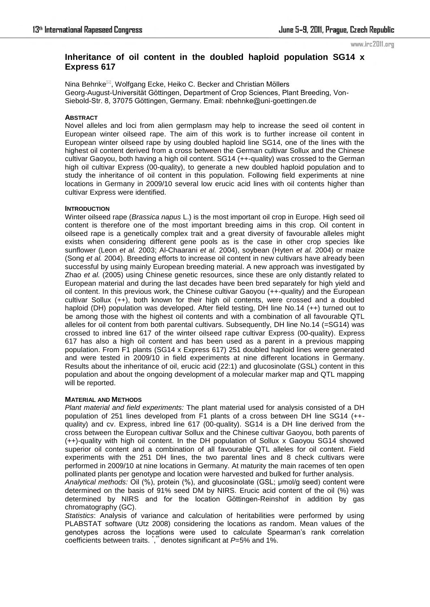#### www.irc2011.org

# **Inheritance of oil content in the doubled haploid population SG14 x Express 617**

Nina Behnke<sup>⊠</sup>, Wolfgang Ecke, Heiko C. Becker and Christian Möllers Georg-August-Universität Göttingen, Department of Crop Sciences, Plant Breeding, Von-Siebold-Str. 8, 37075 Göttingen, Germany. Email: nbehnke@uni-goettingen.de

# **ABSTRACT**

Novel alleles and loci from alien germplasm may help to increase the seed oil content in European winter oilseed rape. The aim of this work is to further increase oil content in European winter oilseed rape by using doubled haploid line SG14, one of the lines with the highest oil content derived from a cross between the German cultivar Sollux and the Chinese cultivar Gaoyou, both having a high oil content. SG14 (++-quality) was crossed to the German high oil cultivar Express (00-quality), to generate a new doubled haploid population and to study the inheritance of oil content in this population. Following field experiments at nine locations in Germany in 2009/10 several low erucic acid lines with oil contents higher than cultivar Express were identified.

### **INTRODUCTION**

Winter oilseed rape (*Brassica napus* L.) is the most important oil crop in Europe. High seed oil content is therefore one of the most important breeding aims in this crop. Oil content in oilseed rape is a genetically complex trait and a great diversity of favourable alleles might exists when considering different gene pools as is the case in other crop species like sunflower (Leon *et al.* 2003; Al-Chaarani *et al.* 2004), soybean (Hyten *et al.* 2004) or maize (Song *et al.* 2004). Breeding efforts to increase oil content in new cultivars have already been successful by using mainly European breeding material. A new approach was investigated by Zhao *et al.* (2005) using Chinese genetic resources, since these are only distantly related to European material and during the last decades have been bred separately for high yield and oil content. In this previous work, the Chinese cultivar Gaoyou (++-quality) and the European cultivar Sollux (++), both known for their high oil contents, were crossed and a doubled haploid (DH) population was developed. After field testing, DH line No.14 (++) turned out to be among those with the highest oil contents and with a combination of all favourable QTL alleles for oil content from both parental cultivars. Subsequently, DH line No.14 (=SG14) was crossed to inbred line 617 of the winter oilseed rape cultivar Express (00-quality). Express 617 has also a high oil content and has been used as a parent in a previous mapping population. From F1 plants (SG14 x Express 617) 251 doubled haploid lines were generated and were tested in 2009/10 in field experiments at nine different locations in Germany. Results about the inheritance of oil, erucic acid (22:1) and glucosinolate (GSL) content in this population and about the ongoing development of a molecular marker map and QTL mapping will be reported.

#### **MATERIAL AND METHODS**

*Plant material and field experiments:* The plant material used for analysis consisted of a DH population of 251 lines developed from F1 plants of a cross between DH line SG14 (++ quality) and cv. Express, inbred line 617 (00-quality). SG14 is a DH line derived from the cross between the European cultivar Sollux and the Chinese cultivar Gaoyou, both parents of (++)-quality with high oil content. In the DH population of Sollux x Gaoyou SG14 showed superior oil content and a combination of all favourable QTL alleles for oil content. Field experiments with the 251 DH lines, the two parental lines and 8 check cultivars were performed in 2009/10 at nine locations in Germany. At maturity the main racemes of ten open pollinated plants per genotype and location were harvested and bulked for further analysis.

*Analytical methods:* Oil (%), protein (%), and glucosinolate (GSL; µmol/g seed) content were determined on the basis of 91% seed DM by NIRS. Erucic acid content of the oil (%) was determined by NIRS and for the location Göttingen-Reinshof in addition by gas chromatography (GC).

*Statistics*: Analysis of variance and calculation of heritabilities were performed by using PLABSTAT software (Utz 2008) considering the locations as random. Mean values of the genotypes across the locations were used to calculate Spearman's rank correlation coefficients between traits.  $\cdot$ , denotes significant at *P*=5% and 1%.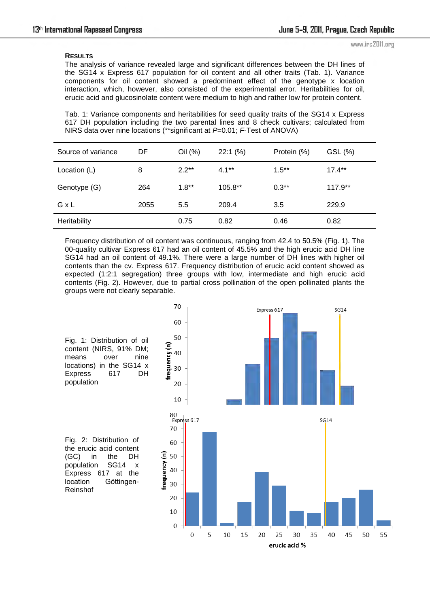# **RESULTS**

www.irc2011.org

The analysis of variance revealed large and significant differences between the DH lines of the SG14 x Express 617 population for oil content and all other traits (Tab. 1). Variance components for oil content showed a predominant effect of the genotype x location interaction, which, however, also consisted of the experimental error. Heritabilities for oil, erucic acid and glucosinolate content were medium to high and rather low for protein content.

Tab. 1: Variance components and heritabilities for seed quality traits of the SG14 x Express 617 DH population including the two parental lines and 8 check cultivars; calculated from NIRS data over nine locations (\*\*significant at *P*=0.01; *F*-Test of ANOVA)

| Source of variance | DF   | Oil (%) | 22:1(%)   | Protein (%) | GSL (%)   |
|--------------------|------|---------|-----------|-------------|-----------|
| Location (L)       | 8    | $2.2**$ | $4.1**$   | $1.5***$    | $17.4**$  |
| Genotype (G)       | 264  | $1.8**$ | $105.8**$ | $0.3**$     | $117.9**$ |
| GxL                | 2055 | 5.5     | 209.4     | 3.5         | 229.9     |
| Heritability       |      | 0.75    | 0.82      | 0.46        | 0.82      |

Frequency distribution of oil content was continuous, ranging from 42.4 to 50.5% (Fig. 1). The 00-quality cultivar Express 617 had an oil content of 45.5% and the high erucic acid DH line SG14 had an oil content of 49.1%. There were a large number of DH lines with higher oil contents than the cv. Express 617. Frequency distribution of erucic acid content showed as expected (1:2:1 segregation) three groups with low, intermediate and high erucic acid contents (Fig. 2). However, due to partial cross pollination of the open pollinated plants the groups were not clearly separable.

> 70 Express 617  $SG14$ 60 50 frequency (n) 40 30 20  $10$ 80 80<br>Express 617 **SG14** 70 60 requency (n) 50 40 30 20 10  $\mathbf 0$  $\overline{0}$ 5 10 15 20 25 30 35 40 45 50 55 erucic acid %

Fig. 1: Distribution of oil content (NIRS, 91% DM; means over nine locations) in the SG14 x Express 617 DH population

Fig. 2: Distribution of the erucic acid content (GC) in the DH population SG14 x Express 617 at the location Göttingen-Reinshof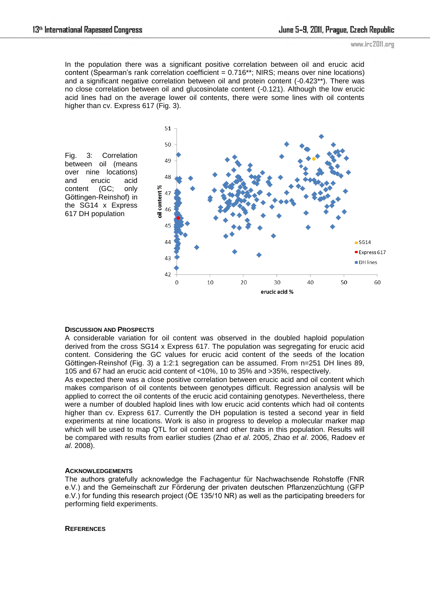In the population there was a significant positive correlation between oil and erucic acid content (Spearman's rank correlation coefficient = 0.716\*\*; NIRS; means over nine locations) and a significant negative correlation between oil and protein content (-0.423\*\*). There was no close correlation between oil and glucosinolate content (-0.121). Although the low erucic acid lines had on the average lower oil contents, there were some lines with oil contents higher than cv. Express 617 (Fig. 3).



#### **DISCUSSION AND PROSPECTS**

A considerable variation for oil content was observed in the doubled haploid population derived from the cross SG14 x Express 617. The population was segregating for erucic acid content. Considering the GC values for erucic acid content of the seeds of the location Göttingen-Reinshof (Fig. 3) a 1:2:1 segregation can be assumed. From n=251 DH lines 89, 105 and 67 had an erucic acid content of <10%, 10 to 35% and >35%, respectively.

As expected there was a close positive correlation between erucic acid and oil content which makes comparison of oil contents between genotypes difficult. Regression analysis will be applied to correct the oil contents of the erucic acid containing genotypes. Nevertheless, there were a number of doubled haploid lines with low erucic acid contents which had oil contents higher than cv. Express 617. Currently the DH population is tested a second year in field experiments at nine locations. Work is also in progress to develop a molecular marker map which will be used to map QTL for oil content and other traits in this population. Results will be compared with results from earlier studies (Zhao *et al*. 2005, Zhao *et al*. 2006, Radoev *et al*. 2008).

# **ACKNOWLEDGEMENTS**

The authors gratefully acknowledge the Fachagentur für Nachwachsende Rohstoffe (FNR e.V.) and the Gemeinschaft zur Förderung der privaten deutschen Pflanzenzüchtung (GFP e.V.) for funding this research project (ÖE 135/10 NR) as well as the participating breeders for performing field experiments.

**REFERENCES**